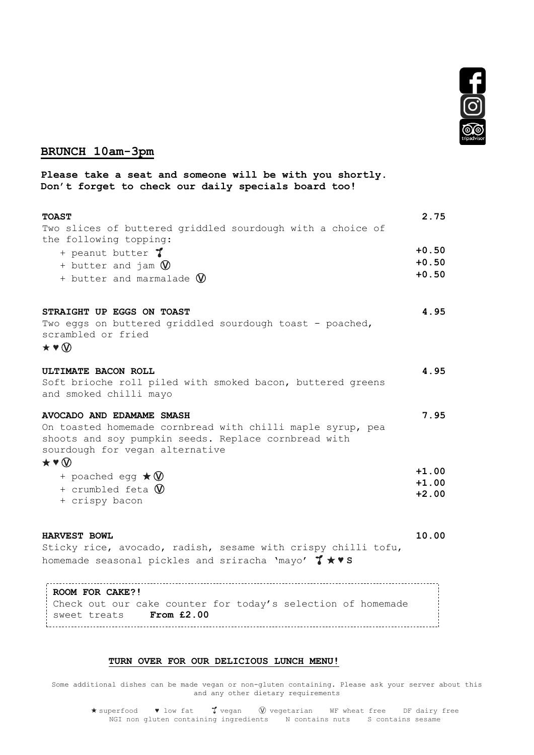

## **BRUNCH 10am-3pm**

**Please take a seat and someone will be with you shortly. Don't forget to check our daily specials board too!**

| <b>TOAST</b><br>Two slices of buttered griddled sourdough with a choice of<br>the following topping:                                                                                                               | 2.75                          |
|--------------------------------------------------------------------------------------------------------------------------------------------------------------------------------------------------------------------|-------------------------------|
| + peanut butter 7<br>+ butter and jam $\mathbb Q$<br>+ butter and marmalade W                                                                                                                                      | $+0.50$<br>$+0.50$<br>$+0.50$ |
| STRAIGHT UP EGGS ON TOAST<br>Two eggs on buttered griddled sourdough toast - poached,<br>scrambled or fried<br>$\star \bullet \textcircled{v}$                                                                     | 4.95                          |
| ULTIMATE BACON ROLL<br>Soft brioche roll piled with smoked bacon, buttered greens<br>and smoked chilli mayo                                                                                                        | 4.95                          |
| AVOCADO AND EDAMAME SMASH<br>On toasted homemade cornbread with chilli maple syrup, pea<br>shoots and soy pumpkin seeds. Replace cornbread with<br>sourdough for vegan alternative<br>$\star \bullet \circledcirc$ | 7.95                          |
| + poached egg $\star \mathbb{W}$<br>+ crumbled feta $\mathbb W$<br>+ crispy bacon                                                                                                                                  | $+1.00$<br>$+1.00$<br>$+2.00$ |

**HARVEST BOWL** Sticky rice, avocado, radish, sesame with crispy chilli tofu, homemade seasonal pickles and sriracha 'mayo' ★ ♥ **S 10.00**

**ROOM FOR CAKE?!** Check out our cake counter for today's selection of homemade sweet treats **From £2.00**

## **TURN OVER FOR OUR DELICIOUS LUNCH MENU!**

Some additional dishes can be made vegan or non-gluten containing. Please ask your server about this and any other dietary requirements

★ superfood ♥ low fat vegan Ⓥ vegetarian WF wheat free DF dairy free NGI non gluten containing ingredients N contains nuts S contains sesame